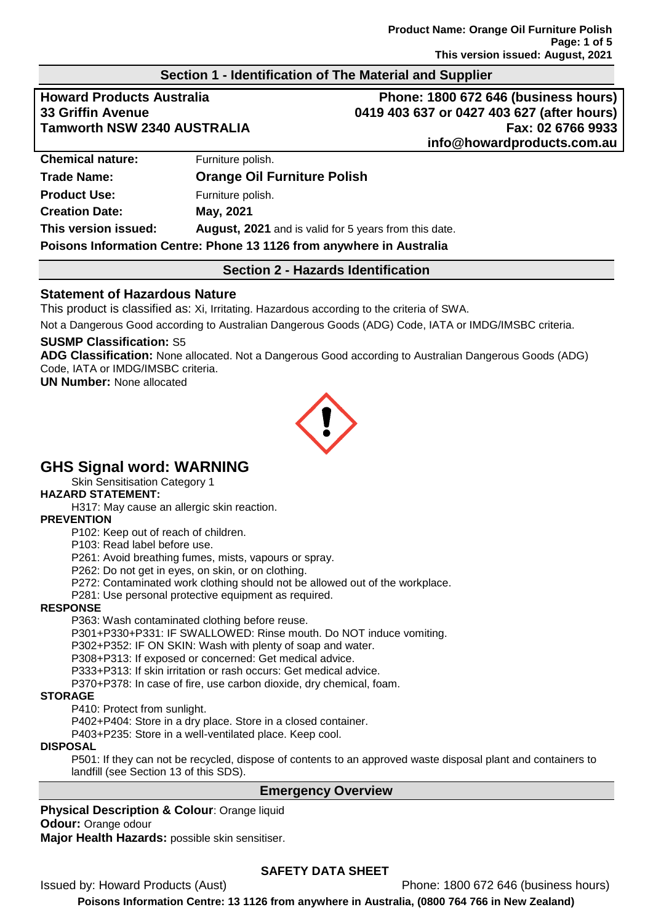### **Section 1 - Identification of The Material and Supplier**

**Howard Products Australia Phone: 1800 672 646 (business hours) 33 Griffin Avenue 0419 403 637 or 0427 403 627 (after hours) Tamworth NSW 2340 AUSTRALIA Fax: 02 6766 9933 info@howardproducts.com.au**

| <b>Chemical nature:</b>                                              | Furniture polish.                                            |  |
|----------------------------------------------------------------------|--------------------------------------------------------------|--|
| <b>Trade Name:</b>                                                   | <b>Orange Oil Furniture Polish</b>                           |  |
| <b>Product Use:</b>                                                  | Furniture polish.                                            |  |
| <b>Creation Date:</b>                                                | May, 2021                                                    |  |
| This version issued:                                                 | <b>August, 2021</b> and is valid for 5 years from this date. |  |
| Poisons Information Centre: Phone 13 1126 from anywhere in Australia |                                                              |  |

### **Section 2 - Hazards Identification**

### **Statement of Hazardous Nature**

This product is classified as: Xi, Irritating. Hazardous according to the criteria of SWA.

Not a Dangerous Good according to Australian Dangerous Goods (ADG) Code, IATA or IMDG/IMSBC criteria.

### **SUSMP Classification:** S5

**ADG Classification:** None allocated. Not a Dangerous Good according to Australian Dangerous Goods (ADG) Code, IATA or IMDG/IMSBC criteria.

**UN Number:** None allocated



# **GHS Signal word: WARNING**

Skin Sensitisation Category 1

#### **HAZARD STATEMENT:**

H317: May cause an allergic skin reaction.

#### **PREVENTION**

P102: Keep out of reach of children.

P103: Read label before use.

P261: Avoid breathing fumes, mists, vapours or spray.

P262: Do not get in eyes, on skin, or on clothing.

P272: Contaminated work clothing should not be allowed out of the workplace.

P281: Use personal protective equipment as required.

### **RESPONSE**

P363: Wash contaminated clothing before reuse.

P301+P330+P331: IF SWALLOWED: Rinse mouth. Do NOT induce vomiting.

P302+P352: IF ON SKIN: Wash with plenty of soap and water.

P308+P313: If exposed or concerned: Get medical advice.

P333+P313: If skin irritation or rash occurs: Get medical advice.

P370+P378: In case of fire, use carbon dioxide, dry chemical, foam.

#### **STORAGE**

P410: Protect from sunlight.

P402+P404: Store in a dry place. Store in a closed container.

P403+P235: Store in a well-ventilated place. Keep cool.

#### **DISPOSAL**

P501: If they can not be recycled, dispose of contents to an approved waste disposal plant and containers to landfill (see Section 13 of this SDS).

## **Emergency Overview**

**Physical Description & Colour**: Orange liquid **Odour:** Orange odour

**Major Health Hazards:** possible skin sensitiser.

## **SAFETY DATA SHEET**

Issued by: Howard Products (Aust) Phone: 1800 672 646 (business hours) **Poisons Information Centre: 13 1126 from anywhere in Australia, (0800 764 766 in New Zealand)**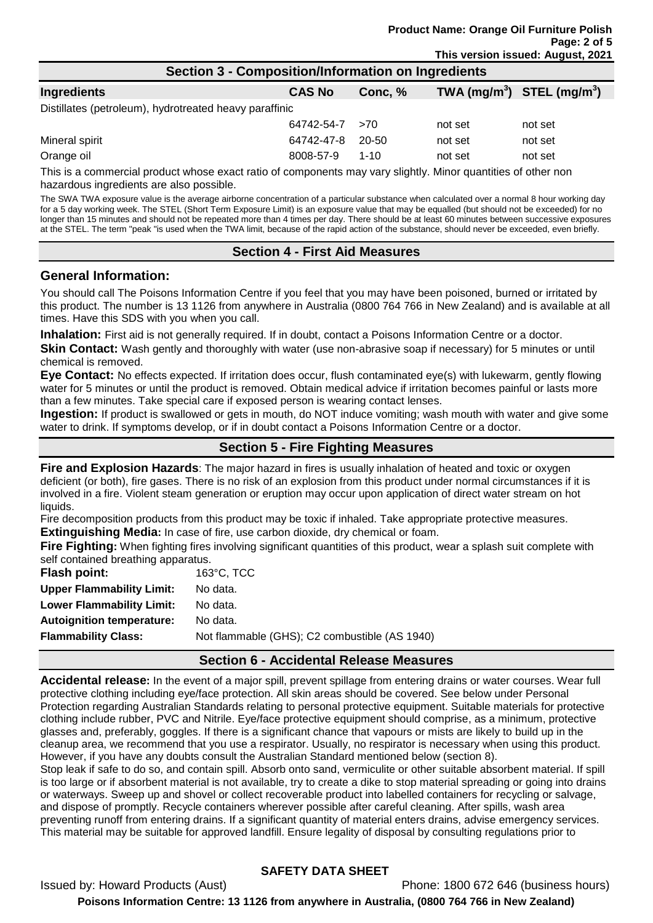| Section 3 - Composition/Information on Ingredients                                                           |               |          |         |                                |
|--------------------------------------------------------------------------------------------------------------|---------------|----------|---------|--------------------------------|
| Ingredients                                                                                                  | <b>CAS No</b> | Conc, %  |         | TWA $(mg/m^3)$ STEL $(mg/m^3)$ |
| Distillates (petroleum), hydrotreated heavy paraffinic                                                       |               |          |         |                                |
|                                                                                                              | 64742-54-7    | >70      | not set | not set                        |
| Mineral spirit                                                                                               | 64742-47-8    | 20-50    | not set | not set                        |
| Orange oil                                                                                                   | 8008-57-9     | $1 - 10$ | not set | not set                        |
| This is a commercial product whose overt ratio of components mouvemuslightly. Miner quantities of other near |               |          |         |                                |

This is a commercial product whose exact ratio of components may vary slightly. Minor quantities of other non hazardous ingredients are also possible.

The SWA TWA exposure value is the average airborne concentration of a particular substance when calculated over a normal 8 hour working day for a 5 day working week. The STEL (Short Term Exposure Limit) is an exposure value that may be equalled (but should not be exceeded) for no longer than 15 minutes and should not be repeated more than 4 times per day. There should be at least 60 minutes between successive exposures at the STEL. The term "peak "is used when the TWA limit, because of the rapid action of the substance, should never be exceeded, even briefly.

### **Section 4 - First Aid Measures**

### **General Information:**

You should call The Poisons Information Centre if you feel that you may have been poisoned, burned or irritated by this product. The number is 13 1126 from anywhere in Australia (0800 764 766 in New Zealand) and is available at all times. Have this SDS with you when you call.

**Inhalation:** First aid is not generally required. If in doubt, contact a Poisons Information Centre or a doctor. **Skin Contact:** Wash gently and thoroughly with water (use non-abrasive soap if necessary) for 5 minutes or until chemical is removed.

**Eye Contact:** No effects expected. If irritation does occur, flush contaminated eye(s) with lukewarm, gently flowing water for 5 minutes or until the product is removed. Obtain medical advice if irritation becomes painful or lasts more than a few minutes. Take special care if exposed person is wearing contact lenses.

**Ingestion:** If product is swallowed or gets in mouth, do NOT induce vomiting; wash mouth with water and give some water to drink. If symptoms develop, or if in doubt contact a Poisons Information Centre or a doctor.

## **Section 5 - Fire Fighting Measures**

**Fire and Explosion Hazards**: The major hazard in fires is usually inhalation of heated and toxic or oxygen deficient (or both), fire gases. There is no risk of an explosion from this product under normal circumstances if it is involved in a fire. Violent steam generation or eruption may occur upon application of direct water stream on hot liquids.

Fire decomposition products from this product may be toxic if inhaled. Take appropriate protective measures. **Extinguishing Media:** In case of fire, use carbon dioxide, dry chemical or foam.

**Fire Fighting:** When fighting fires involving significant quantities of this product, wear a splash suit complete with self contained breathing apparatus.

**Flash point:** 163°C, TCC

| <b>Upper Flammability Limit:</b> | No data.                                      |
|----------------------------------|-----------------------------------------------|
| <b>Lower Flammability Limit:</b> | No data.                                      |
| <b>Autoignition temperature:</b> | No data.                                      |
| <b>Flammability Class:</b>       | Not flammable (GHS); C2 combustible (AS 1940) |
|                                  |                                               |

### **Section 6 - Accidental Release Measures**

**Accidental release:** In the event of a major spill, prevent spillage from entering drains or water courses. Wear full protective clothing including eye/face protection. All skin areas should be covered. See below under Personal Protection regarding Australian Standards relating to personal protective equipment. Suitable materials for protective clothing include rubber, PVC and Nitrile. Eye/face protective equipment should comprise, as a minimum, protective glasses and, preferably, goggles. If there is a significant chance that vapours or mists are likely to build up in the cleanup area, we recommend that you use a respirator. Usually, no respirator is necessary when using this product. However, if you have any doubts consult the Australian Standard mentioned below (section 8).

Stop leak if safe to do so, and contain spill. Absorb onto sand, vermiculite or other suitable absorbent material. If spill is too large or if absorbent material is not available, try to create a dike to stop material spreading or going into drains or waterways. Sweep up and shovel or collect recoverable product into labelled containers for recycling or salvage, and dispose of promptly. Recycle containers wherever possible after careful cleaning. After spills, wash area preventing runoff from entering drains. If a significant quantity of material enters drains, advise emergency services. This material may be suitable for approved landfill. Ensure legality of disposal by consulting regulations prior to

## **SAFETY DATA SHEET**

Issued by: Howard Products (Aust) Phone: 1800 672 646 (business hours) **Poisons Information Centre: 13 1126 from anywhere in Australia, (0800 764 766 in New Zealand)**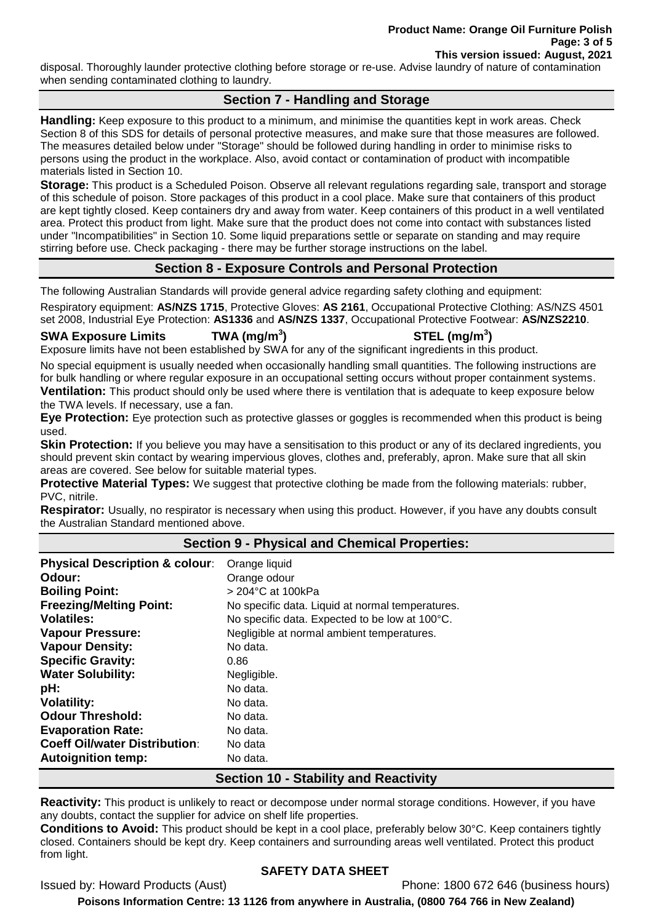disposal. Thoroughly launder protective clothing before storage or re-use. Advise laundry of nature of contamination when sending contaminated clothing to laundry.

## **Section 7 - Handling and Storage**

**Handling:** Keep exposure to this product to a minimum, and minimise the quantities kept in work areas. Check Section 8 of this SDS for details of personal protective measures, and make sure that those measures are followed. The measures detailed below under "Storage" should be followed during handling in order to minimise risks to persons using the product in the workplace. Also, avoid contact or contamination of product with incompatible materials listed in Section 10.

**Storage:** This product is a Scheduled Poison. Observe all relevant regulations regarding sale, transport and storage of this schedule of poison. Store packages of this product in a cool place. Make sure that containers of this product are kept tightly closed. Keep containers dry and away from water. Keep containers of this product in a well ventilated area. Protect this product from light. Make sure that the product does not come into contact with substances listed under "Incompatibilities" in Section 10. Some liquid preparations settle or separate on standing and may require stirring before use. Check packaging - there may be further storage instructions on the label.

## **Section 8 - Exposure Controls and Personal Protection**

The following Australian Standards will provide general advice regarding safety clothing and equipment:

Respiratory equipment: **AS/NZS 1715**, Protective Gloves: **AS 2161**, Occupational Protective Clothing: AS/NZS 4501 set 2008, Industrial Eye Protection: **AS1336** and **AS/NZS 1337**, Occupational Protective Footwear: **AS/NZS2210**.

#### **SWA Exposure Limits TWA (mg/m<sup>3</sup>**

**) STEL (mg/m<sup>3</sup> )**

Exposure limits have not been established by SWA for any of the significant ingredients in this product.

No special equipment is usually needed when occasionally handling small quantities. The following instructions are for bulk handling or where regular exposure in an occupational setting occurs without proper containment systems. **Ventilation:** This product should only be used where there is ventilation that is adequate to keep exposure below the TWA levels. If necessary, use a fan.

**Eye Protection:** Eye protection such as protective glasses or goggles is recommended when this product is being used.

**Skin Protection:** If you believe you may have a sensitisation to this product or any of its declared ingredients, you should prevent skin contact by wearing impervious gloves, clothes and, preferably, apron. Make sure that all skin areas are covered. See below for suitable material types.

**Protective Material Types:** We suggest that protective clothing be made from the following materials: rubber, PVC, nitrile.

**Respirator:** Usually, no respirator is necessary when using this product. However, if you have any doubts consult the Australian Standard mentioned above.

## **Section 9 - Physical and Chemical Properties:**

| <b>Physical Description &amp; colour:</b> | Orange liquid                                    |
|-------------------------------------------|--------------------------------------------------|
| Odour:                                    | Orange odour                                     |
| <b>Boiling Point:</b>                     | $>$ 204 $^{\circ}$ C at 100kPa                   |
| <b>Freezing/Melting Point:</b>            | No specific data. Liquid at normal temperatures. |
| <b>Volatiles:</b>                         | No specific data. Expected to be low at 100°C.   |
| <b>Vapour Pressure:</b>                   | Negligible at normal ambient temperatures.       |
| <b>Vapour Density:</b>                    | No data.                                         |
| <b>Specific Gravity:</b>                  | 0.86                                             |
| <b>Water Solubility:</b>                  | Negligible.                                      |
| pH:                                       | No data.                                         |
| <b>Volatility:</b>                        | No data.                                         |
| <b>Odour Threshold:</b>                   | No data.                                         |
| <b>Evaporation Rate:</b>                  | No data.                                         |
| <b>Coeff Oil/water Distribution:</b>      | No data                                          |
| <b>Autoignition temp:</b>                 | No data.                                         |

### **Section 10 - Stability and Reactivity**

**Reactivity:** This product is unlikely to react or decompose under normal storage conditions. However, if you have any doubts, contact the supplier for advice on shelf life properties.

**Conditions to Avoid:** This product should be kept in a cool place, preferably below 30°C. Keep containers tightly closed. Containers should be kept dry. Keep containers and surrounding areas well ventilated. Protect this product from light.

### **SAFETY DATA SHEET**

Issued by: Howard Products (Aust) Phone: 1800 672 646 (business hours)

**Poisons Information Centre: 13 1126 from anywhere in Australia, (0800 764 766 in New Zealand)**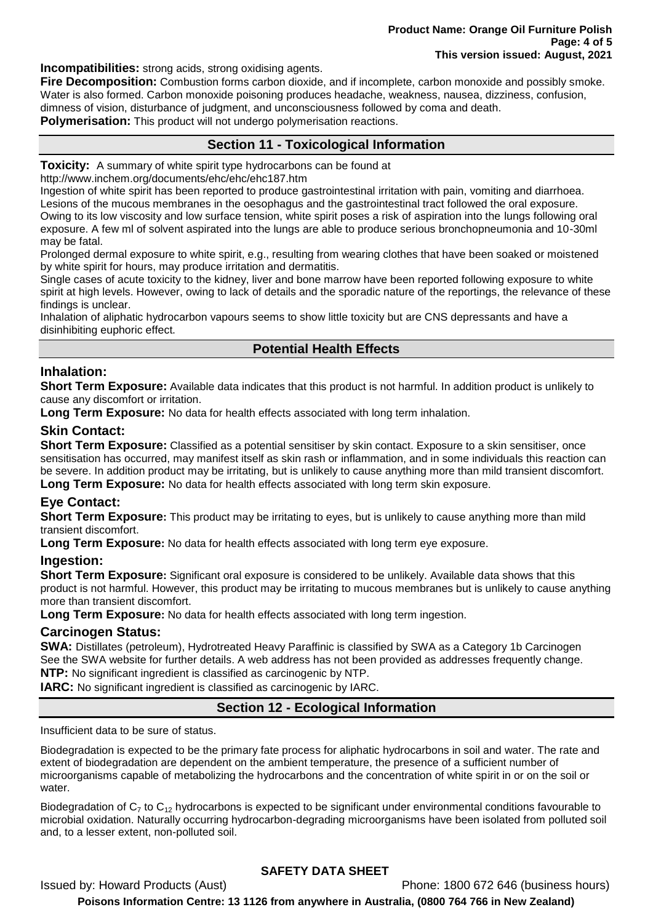**Incompatibilities:** strong acids, strong oxidising agents.

**Fire Decomposition:** Combustion forms carbon dioxide, and if incomplete, carbon monoxide and possibly smoke. Water is also formed. Carbon monoxide poisoning produces headache, weakness, nausea, dizziness, confusion, dimness of vision, disturbance of judgment, and unconsciousness followed by coma and death. **Polymerisation:** This product will not undergo polymerisation reactions.

## **Section 11 - Toxicological Information**

**Toxicity:** A summary of white spirit type hydrocarbons can be found at

http://www.inchem.org/documents/ehc/ehc/ehc187.htm

Ingestion of white spirit has been reported to produce gastrointestinal irritation with pain, vomiting and diarrhoea. Lesions of the mucous membranes in the oesophagus and the gastrointestinal tract followed the oral exposure. Owing to its low viscosity and low surface tension, white spirit poses a risk of aspiration into the lungs following oral exposure. A few ml of solvent aspirated into the lungs are able to produce serious bronchopneumonia and 10-30ml may be fatal.

Prolonged dermal exposure to white spirit, e.g., resulting from wearing clothes that have been soaked or moistened by white spirit for hours, may produce irritation and dermatitis.

Single cases of acute toxicity to the kidney, liver and bone marrow have been reported following exposure to white spirit at high levels. However, owing to lack of details and the sporadic nature of the reportings, the relevance of these findings is unclear.

Inhalation of aliphatic hydrocarbon vapours seems to show little toxicity but are CNS depressants and have a disinhibiting euphoric effect.

## **Potential Health Effects**

### **Inhalation:**

**Short Term Exposure:** Available data indicates that this product is not harmful. In addition product is unlikely to cause any discomfort or irritation.

**Long Term Exposure:** No data for health effects associated with long term inhalation.

## **Skin Contact:**

**Short Term Exposure:** Classified as a potential sensitiser by skin contact. Exposure to a skin sensitiser, once sensitisation has occurred, may manifest itself as skin rash or inflammation, and in some individuals this reaction can be severe. In addition product may be irritating, but is unlikely to cause anything more than mild transient discomfort. **Long Term Exposure:** No data for health effects associated with long term skin exposure.

## **Eye Contact:**

**Short Term Exposure:** This product may be irritating to eyes, but is unlikely to cause anything more than mild transient discomfort.

**Long Term Exposure:** No data for health effects associated with long term eye exposure.

### **Ingestion:**

**Short Term Exposure:** Significant oral exposure is considered to be unlikely. Available data shows that this product is not harmful. However, this product may be irritating to mucous membranes but is unlikely to cause anything more than transient discomfort.

**Long Term Exposure:** No data for health effects associated with long term ingestion.

### **Carcinogen Status:**

**SWA:** Distillates (petroleum), Hydrotreated Heavy Paraffinic is classified by SWA as a Category 1b Carcinogen See the SWA website for further details. A web address has not been provided as addresses frequently change. **NTP:** No significant ingredient is classified as carcinogenic by NTP.

**IARC:** No significant ingredient is classified as carcinogenic by IARC.

## **Section 12 - Ecological Information**

Insufficient data to be sure of status.

Biodegradation is expected to be the primary fate process for aliphatic hydrocarbons in soil and water. The rate and extent of biodegradation are dependent on the ambient temperature, the presence of a sufficient number of microorganisms capable of metabolizing the hydrocarbons and the concentration of white spirit in or on the soil or water.

Biodegradation of  $C_7$  to  $C_{12}$  hydrocarbons is expected to be significant under environmental conditions favourable to microbial oxidation. Naturally occurring hydrocarbon-degrading microorganisms have been isolated from polluted soil and, to a lesser extent, non-polluted soil.

## **SAFETY DATA SHEET**

Issued by: Howard Products (Aust) Phone: 1800 672 646 (business hours) **Poisons Information Centre: 13 1126 from anywhere in Australia, (0800 764 766 in New Zealand)**